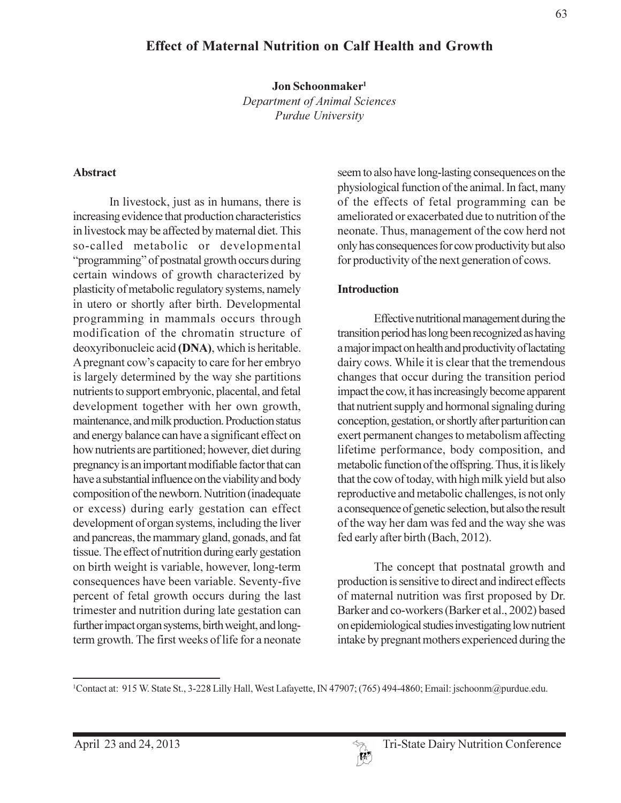# **Effect of Maternal Nutrition on Calf Health and Growth**

Jon Schoonmaker<sup>1</sup>

Department of Animal Sciences Purdue University

#### **Abstract**

In livestock, just as in humans, there is increasing evidence that production characteristics in livestock may be affected by maternal diet. This so-called metabolic or developmental "programming" of postnatal growth occurs during certain windows of growth characterized by plasticity of metabolic regulatory systems, namely in utero or shortly after birth. Developmental programming in mammals occurs through modification of the chromatin structure of deoxyribonucleic acid (DNA), which is heritable. A pregnant cow's capacity to care for her embryo is largely determined by the way she partitions nutrients to support embryonic, placental, and fetal development together with her own growth, maintenance, and milk production. Production status and energy balance can have a significant effect on how nutrients are partitioned; however, diet during pregnancy is an important modifiable factor that can have a substantial influence on the viability and body composition of the newborn. Nutrition (inadequate or excess) during early gestation can effect development of organ systems, including the liver and pancreas, the mammary gland, gonads, and fat tissue. The effect of nutrition during early gestation on birth weight is variable, however, long-term consequences have been variable. Seventy-five percent of fetal growth occurs during the last trimester and nutrition during late gestation can further impact organ systems, birth weight, and longterm growth. The first weeks of life for a neonate

seem to also have long-lasting consequences on the physiological function of the animal. In fact, many of the effects of fetal programming can be ameliorated or exacerbated due to nutrition of the neonate. Thus, management of the cow herd not only has consequences for cow productivity but also for productivity of the next generation of cows.

#### **Introduction**

Effective nutritional management during the transition period has long been recognized as having a major impact on health and productivity of lactating dairy cows. While it is clear that the tremendous changes that occur during the transition period impact the cow, it has increasingly become apparent that nutrient supply and hormonal signaling during conception, gestation, or shortly after parturition can exert permanent changes to metabolism affecting lifetime performance, body composition, and metabolic function of the offspring. Thus, it is likely that the cow of today, with high milk yield but also reproductive and metabolic challenges, is not only a consequence of genetic selection, but also the result of the way her dam was fed and the way she was fed early after birth (Bach, 2012).

The concept that postnatal growth and production is sensitive to direct and indirect effects of maternal nutrition was first proposed by Dr. Barker and co-workers (Barker et al., 2002) based on epidemiological studies investigating low nutrient intake by pregnant mothers experienced during the

<sup>&</sup>lt;sup>1</sup>Contact at: 915 W. State St., 3-228 Lilly Hall, West Lafayette, IN 47907; (765) 494-4860; Email: jschoonm@purdue.edu.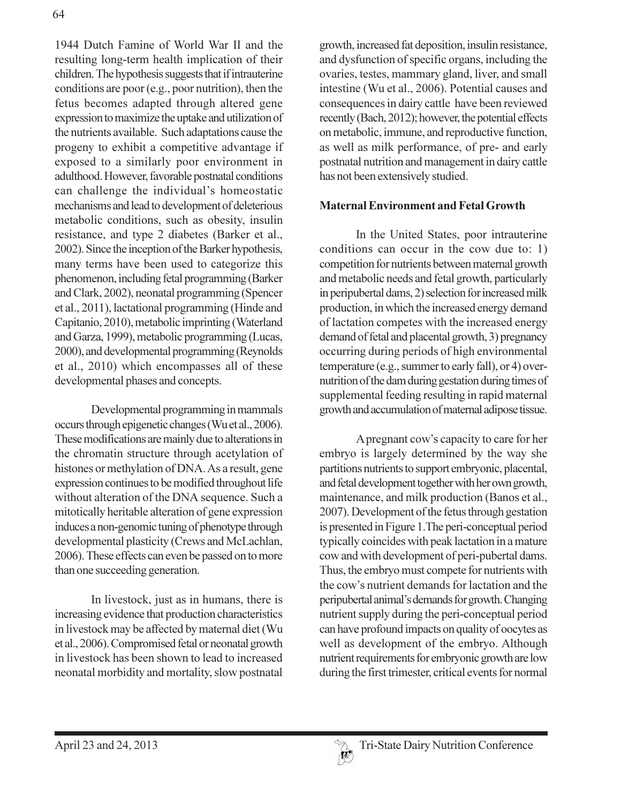1944 Dutch Famine of World War II and the resulting long-term health implication of their children. The hypothesis suggests that if intrauterine conditions are poor (e.g., poor nutrition), then the fetus becomes adapted through altered gene expression to maximize the uptake and utilization of the nutrients available. Such adaptations cause the progeny to exhibit a competitive advantage if exposed to a similarly poor environment in adulthood. However, favorable postnatal conditions can challenge the individual's homeostatic mechanisms and lead to development of deleterious metabolic conditions, such as obesity, insulin resistance, and type 2 diabetes (Barker et al., 2002). Since the inception of the Barker hypothesis, many terms have been used to categorize this phenomenon, including fetal programming (Barker and Clark, 2002), neonatal programming (Spencer et al., 2011), lactational programming (Hinde and Capitanio, 2010), metabolic imprinting (Waterland and Garza, 1999), metabolic programming (Lucas, 2000), and developmental programming (Reynolds et al., 2010) which encompasses all of these developmental phases and concepts.

Developmental programming in mammals occurs through epigenetic changes (Wu et al., 2006). These modifications are mainly due to alterations in the chromatin structure through acetylation of histones or methylation of DNA. As a result, gene expression continues to be modified throughout life without alteration of the DNA sequence. Such a mitotically heritable alteration of gene expression induces a non-genomic tuning of phenotype through developmental plasticity (Crews and McLachlan, 2006). These effects can even be passed on to more than one succeeding generation.

In livestock, just as in humans, there is increasing evidence that production characteristics in livestock may be affected by maternal diet (Wu et al., 2006). Compromised fetal or neonatal growth in livestock has been shown to lead to increased neonatal morbidity and mortality, slow postnatal

growth, increased fat deposition, insulin resistance, and dysfunction of specific organs, including the ovaries, testes, mammary gland, liver, and small intestine (Wu et al., 2006). Potential causes and consequences in dairy cattle have been reviewed recently (Bach, 2012); however, the potential effects on metabolic, immune, and reproductive function, as well as milk performance, of pre- and early postnatal nutrition and management in dairy cattle has not been extensively studied.

#### **Maternal Environment and Fetal Growth**

In the United States, poor intrauterine conditions can occur in the cow due to: 1) competition for nutrients between maternal growth and metabolic needs and fetal growth, particularly in peripubertal dams, 2) selection for increased milk production, in which the increased energy demand of lactation competes with the increased energy demand of fetal and placental growth, 3) pregnancy occurring during periods of high environmental temperature (e.g., summer to early fall), or 4) overnutrition of the dam during gestation during times of supplemental feeding resulting in rapid maternal growth and accumulation of maternal adipose tissue.

A pregnant cow's capacity to care for her embryo is largely determined by the way she partitions nutrients to support embryonic, placental, and fetal development together with her own growth, maintenance, and milk production (Banos et al., 2007). Development of the fetus through gestation is presented in Figure 1. The peri-conceptual period typically coincides with peak lactation in a mature cow and with development of peri-pubertal dams. Thus, the embryo must compete for nutrients with the cow's nutrient demands for lactation and the peripubertal animal's demands for growth. Changing nutrient supply during the peri-conceptual period can have profound impacts on quality of oocytes as well as development of the embryo. Although nutrient requirements for embryonic growth are low during the first trimester, critical events for normal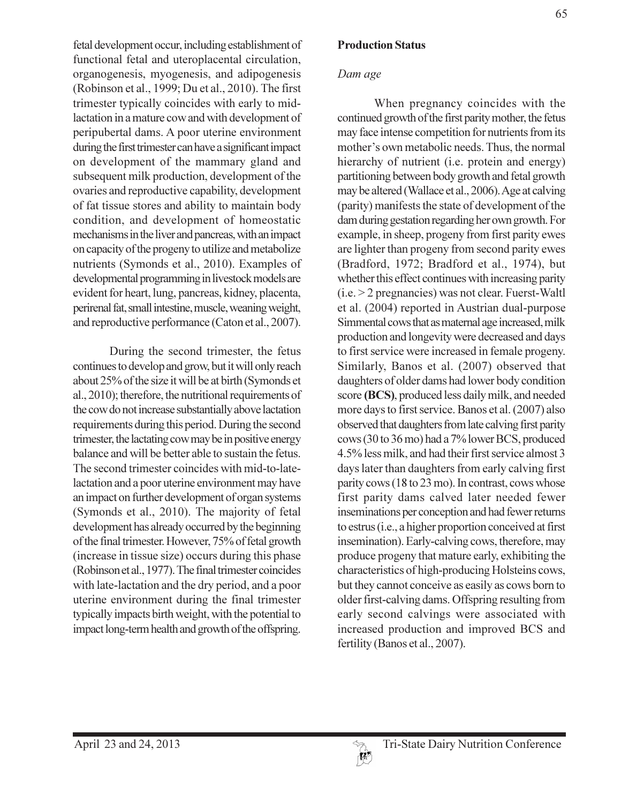fetal development occur, including establishment of functional fetal and uteroplacental circulation, organogenesis, myogenesis, and adipogenesis (Robinson et al., 1999; Du et al., 2010). The first trimester typically coincides with early to midlactation in a mature cow and with development of peripubertal dams. A poor uterine environment during the first trimester can have a significant impact on development of the mammary gland and subsequent milk production, development of the ovaries and reproductive capability, development of fat tissue stores and ability to maintain body condition, and development of homeostatic mechanisms in the liver and pancreas, with an impact on capacity of the progeny to utilize and metabolize nutrients (Symonds et al., 2010). Examples of developmental programming in livestock models are evident for heart, lung, pancreas, kidney, placenta, perirenal fat, small intestine, muscle, weaning weight, and reproductive performance (Caton et al., 2007).

During the second trimester, the fetus continues to develop and grow, but it will only reach about 25% of the size it will be at birth (Symonds et al., 2010); therefore, the nutritional requirements of the cow do not increase substantially above lactation requirements during this period. During the second trimester, the lactating cow may be in positive energy balance and will be better able to sustain the fetus. The second trimester coincides with mid-to-latelactation and a poor uterine environment may have an impact on further development of organ systems (Symonds et al., 2010). The majority of fetal development has already occurred by the beginning of the final trimester. However, 75% of fetal growth (increase in tissue size) occurs during this phase (Robinson et al., 1977). The final trimester coincides with late-lactation and the dry period, and a poor uterine environment during the final trimester typically impacts birth weight, with the potential to impact long-term health and growth of the offspring.

## Dam age

When pregnancy coincides with the continued growth of the first parity mother, the fetus may face intense competition for nutrients from its mother's own metabolic needs. Thus, the normal hierarchy of nutrient (i.e. protein and energy) partitioning between body growth and fetal growth may be altered (Wallace et al., 2006). Age at calving (parity) manifests the state of development of the dam during gestation regarding her own growth. For example, in sheep, progeny from first parity ewes are lighter than progeny from second parity ewes (Bradford, 1972; Bradford et al., 1974), but whether this effect continues with increasing parity  $(i.e. > 2$  pregnancies) was not clear. Fuerst-Waltl et al. (2004) reported in Austrian dual-purpose Simmental cows that as maternal age increased, milk production and longevity were decreased and days to first service were increased in female progeny. Similarly, Banos et al. (2007) observed that daughters of older dams had lower body condition score (BCS), produced less daily milk, and needed more days to first service. Banos et al. (2007) also observed that daughters from late calving first parity cows (30 to 36 mo) had a 7% lower BCS, produced 4.5% less milk, and had their first service almost 3 days later than daughters from early calving first parity cows (18 to 23 mo). In contrast, cows whose first parity dams calved later needed fewer inseminations per conception and had fewer returns to estrus (i.e., a higher proportion conceived at first insemination). Early-calving cows, therefore, may produce progeny that mature early, exhibiting the characteristics of high-producing Holsteins cows, but they cannot conceive as easily as cows born to older first-calving dams. Offspring resulting from early second calvings were associated with increased production and improved BCS and fertility (Banos et al., 2007).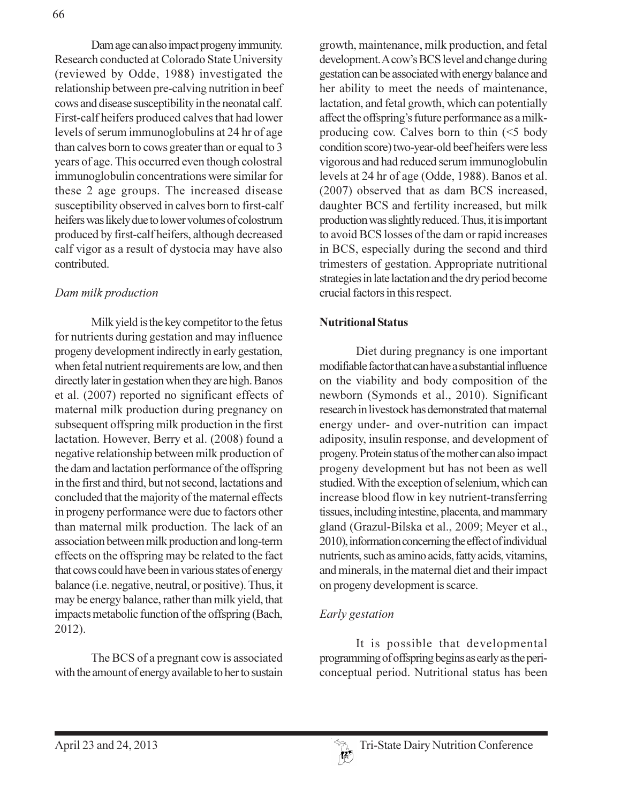Dam age can also impact progeny immunity. Research conducted at Colorado State University (reviewed by Odde, 1988) investigated the relationship between pre-calving nutrition in beef cows and disease susceptibility in the neonatal calf. First-calf heifers produced calves that had lower levels of serum immunoglobulins at 24 hr of age than calves born to cows greater than or equal to 3 years of age. This occurred even though colostral immunoglobulin concentrations were similar for these 2 age groups. The increased disease susceptibility observed in calves born to first-calf heifers was likely due to lower volumes of colostrum produced by first-calf heifers, although decreased calf vigor as a result of dystocia may have also contributed.

## Dam milk production

Milk yield is the key competitor to the fetus for nutrients during gestation and may influence progeny development indirectly in early gestation, when fetal nutrient requirements are low, and then directly later in gestation when they are high. Banos et al. (2007) reported no significant effects of maternal milk production during pregnancy on subsequent offspring milk production in the first lactation. However, Berry et al. (2008) found a negative relationship between milk production of the dam and lactation performance of the offspring in the first and third, but not second, lactations and concluded that the majority of the maternal effects in progeny performance were due to factors other than maternal milk production. The lack of an association between milk production and long-term effects on the offspring may be related to the fact that cows could have been in various states of energy balance (i.e. negative, neutral, or positive). Thus, it may be energy balance, rather than milk yield, that impacts metabolic function of the offspring (Bach, 2012).

The BCS of a pregnant cow is associated with the amount of energy available to her to sustain growth, maintenance, milk production, and fetal development. A cow's BCS level and change during gestation can be associated with energy balance and her ability to meet the needs of maintenance, lactation, and fetal growth, which can potentially affect the offspring's future performance as a milkproducing cow. Calves born to thin  $(\leq 5$  body condition score) two-year-old beef heifers were less vigorous and had reduced serum immunoglobulin levels at 24 hr of age (Odde, 1988). Banos et al. (2007) observed that as dam BCS increased, daughter BCS and fertility increased, but milk production was slightly reduced. Thus, it is important to avoid BCS losses of the dam or rapid increases in BCS, especially during the second and third trimesters of gestation. Appropriate nutritional strategies in late lactation and the dry period become crucial factors in this respect.

#### **Nutritional Status**

Diet during pregnancy is one important modifiable factor that can have a substantial influence on the viability and body composition of the newborn (Symonds et al., 2010). Significant research in livestock has demonstrated that maternal energy under- and over-nutrition can impact adiposity, insulin response, and development of progeny. Protein status of the mother can also impact progeny development but has not been as well studied. With the exception of selenium, which can increase blood flow in key nutrient-transferring tissues, including intestine, placenta, and mammary gland (Grazul-Bilska et al., 2009; Meyer et al., 2010), information concerning the effect of individual nutrients, such as amino acids, fatty acids, vitamins, and minerals, in the maternal diet and their impact on progeny development is scarce.

## Early gestation

It is possible that developmental programming of offspring begins as early as the periconceptual period. Nutritional status has been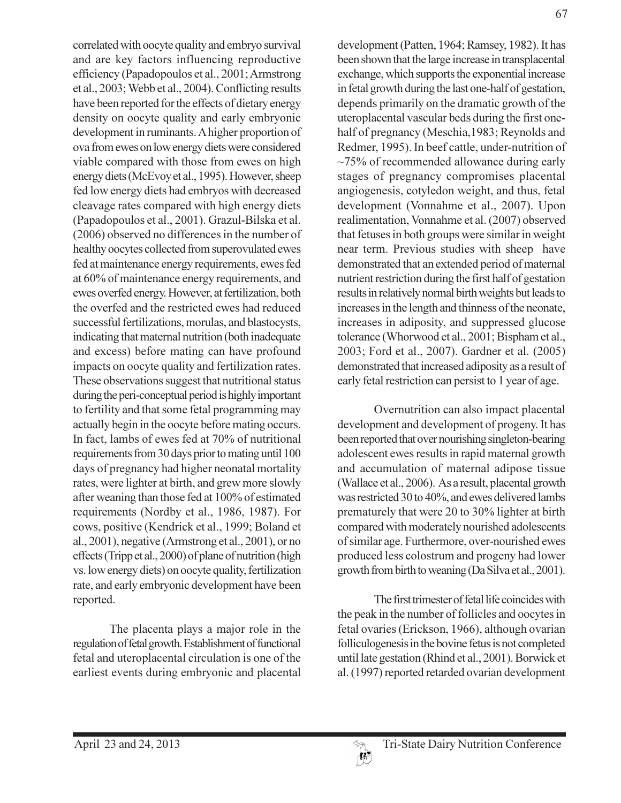correlated with oocyte quality and embryo survival and are key factors influencing reproductive efficiency (Papadopoulos et al., 2001; Armstrong et al., 2003; Webb et al., 2004). Conflicting results have been reported for the effects of dietary energy density on oocyte quality and early embryonic development in ruminants. A higher proportion of ova from ewes on low energy diets were considered viable compared with those from ewes on high energy diets (McEvoy et al., 1995). However, sheep fed low energy diets had embryos with decreased cleavage rates compared with high energy diets (Papadopoulos et al., 2001). Grazul-Bilska et al. (2006) observed no differences in the number of healthy oocytes collected from superovulated ewes fed at maintenance energy requirements, ewes fed at 60% of maintenance energy requirements, and ewes overfed energy. However, at fertilization, both the overfed and the restricted ewes had reduced successful fertilizations, morulas, and blastocysts, indicating that maternal nutrition (both inadequate and excess) before mating can have profound impacts on oocyte quality and fertilization rates. These observations suggest that nutritional status during the peri-conceptual period is highly important to fertility and that some fetal programming may actually begin in the oocyte before mating occurs. In fact, lambs of ewes fed at 70% of nutritional requirements from 30 days prior to mating until 100 days of pregnancy had higher neonatal mortality rates, were lighter at birth, and grew more slowly after weaning than those fed at 100% of estimated requirements (Nordby et al., 1986, 1987). For cows, positive (Kendrick et al., 1999; Boland et al., 2001), negative (Armstrong et al., 2001), or no effects (Tripp et al., 2000) of plane of nutrition (high vs. low energy diets) on oocyte quality, fertilization rate, and early embryonic development have been reported.

The placenta plays a major role in the regulation of fetal growth. Establishment of functional fetal and uteroplacental circulation is one of the earliest events during embryonic and placental development (Patten, 1964; Ramsey, 1982). It has been shown that the large increase in transplacental exchange, which supports the exponential increase in fetal growth during the last one-half of gestation, depends primarily on the dramatic growth of the uteroplacental vascular beds during the first onehalf of pregnancy (Meschia, 1983; Reynolds and Redmer, 1995). In beef cattle, under-nutrition of  $\sim$ 75% of recommended allowance during early stages of pregnancy compromises placental angiogenesis, cotyledon weight, and thus, fetal development (Vonnahme et al., 2007). Upon realimentation, Vonnahme et al. (2007) observed that fetuses in both groups were similar in weight near term. Previous studies with sheep have demonstrated that an extended period of maternal nutrient restriction during the first half of gestation results in relatively normal birth weights but leads to increases in the length and thinness of the neonate, increases in adiposity, and suppressed glucose tolerance (Whorwood et al., 2001; Bispham et al., 2003; Ford et al., 2007). Gardner et al. (2005) demonstrated that increased adiposity as a result of early fetal restriction can persist to 1 year of age.

Overnutrition can also impact placental development and development of progeny. It has been reported that over nourishing singleton-bearing adolescent ewes results in rapid maternal growth and accumulation of maternal adipose tissue (Wallace et al., 2006). As a result, placental growth was restricted 30 to 40%, and ewes delivered lambs prematurely that were 20 to 30% lighter at birth compared with moderately nourished adolescents of similar age. Furthermore, over-nourished ewes produced less colostrum and progeny had lower growth from birth to weaning (Da Silva et al., 2001).

The first trimester of fetal life coincides with the peak in the number of follicles and oocytes in fetal ovaries (Erickson, 1966), although ovarian folliculogenesis in the bovine fetus is not completed until late gestation (Rhind et al., 2001). Borwick et al. (1997) reported retarded ovarian development

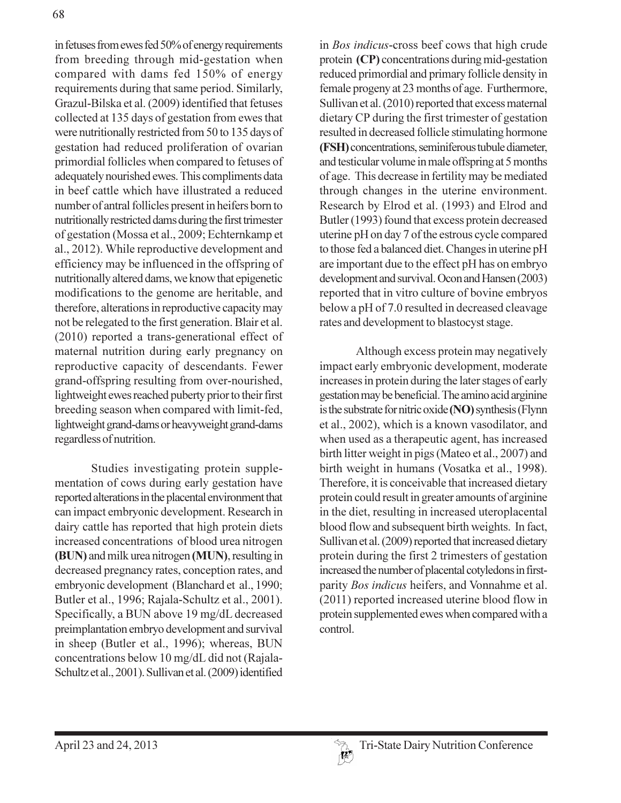in fetuses from ewes fed 50% of energy requirements from breeding through mid-gestation when compared with dams fed 150% of energy requirements during that same period. Similarly, Grazul-Bilska et al. (2009) identified that fetuses collected at 135 days of gestation from ewes that were nutritionally restricted from 50 to 135 days of gestation had reduced proliferation of ovarian primordial follicles when compared to fetuses of adequately nourished ewes. This compliments data in beef cattle which have illustrated a reduced number of antral follicles present in heifers born to nutritionally restricted dams during the first trimester of gestation (Mossa et al., 2009; Echternkamp et al., 2012). While reproductive development and efficiency may be influenced in the offspring of nutritionally altered dams, we know that epigenetic modifications to the genome are heritable, and therefore, alterations in reproductive capacity may not be relegated to the first generation. Blair et al. (2010) reported a trans-generational effect of maternal nutrition during early pregnancy on reproductive capacity of descendants. Fewer grand-offspring resulting from over-nourished, lightweight ewes reached puberty prior to their first breeding season when compared with limit-fed, lightweight grand-dams or heavyweight grand-dams regardless of nutrition.

Studies investigating protein supplementation of cows during early gestation have reported alterations in the placental environment that can impact embryonic development. Research in dairy cattle has reported that high protein diets increased concentrations of blood urea nitrogen (BUN) and milk urea nitrogen (MUN), resulting in decreased pregnancy rates, conception rates, and embryonic development (Blanchard et al., 1990; Butler et al., 1996; Rajala-Schultz et al., 2001). Specifically, a BUN above 19 mg/dL decreased preimplantation embryo development and survival in sheep (Butler et al., 1996); whereas, BUN concentrations below 10 mg/dL did not (Rajala-Schultz et al., 2001). Sullivan et al. (2009) identified in Bos indicus-cross beef cows that high crude protein (CP) concentrations during mid-gestation reduced primordial and primary follicle density in female progeny at 23 months of age. Furthermore, Sullivan et al. (2010) reported that excess maternal dietary CP during the first trimester of gestation resulted in decreased follicle stimulating hormone (FSH) concentrations, seminiferous tubule diameter, and testicular volume in male offspring at 5 months of age. This decrease in fertility may be mediated through changes in the uterine environment. Research by Elrod et al. (1993) and Elrod and Butler (1993) found that excess protein decreased uterine pH on day 7 of the estrous cycle compared to those fed a balanced diet. Changes in uterine pH are important due to the effect pH has on embryo development and survival. Ocon and Hansen (2003) reported that in vitro culture of bovine embryos below a pH of 7.0 resulted in decreased cleavage rates and development to blastocyst stage.

Although excess protein may negatively impact early embryonic development, moderate increases in protein during the later stages of early gestation may be beneficial. The amino acid arginine is the substrate for nitric oxide (NO) synthesis (Flynn et al., 2002), which is a known vasodilator, and when used as a therapeutic agent, has increased birth litter weight in pigs (Mateo et al., 2007) and birth weight in humans (Vosatka et al., 1998). Therefore, it is conceivable that increased dietary protein could result in greater amounts of arginine in the diet, resulting in increased uteroplacental blood flow and subsequent birth weights. In fact, Sullivan et al. (2009) reported that increased dietary protein during the first 2 trimesters of gestation increased the number of placental cotyledons in firstparity Bos indicus heifers, and Vonnahme et al. (2011) reported increased uterine blood flow in protein supplemented ewes when compared with a control.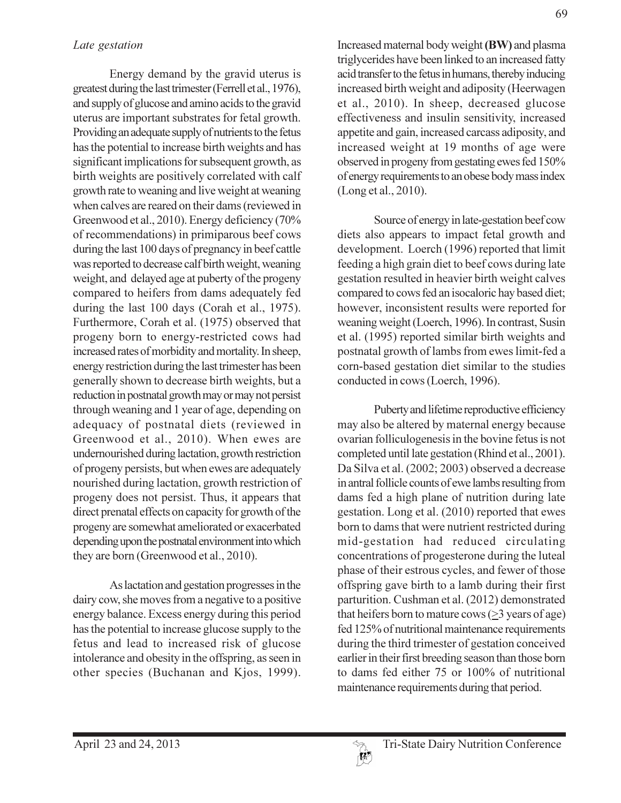Energy demand by the gravid uterus is greatest during the last trimester (Ferrell et al., 1976), and supply of glucose and amino acids to the gravid uterus are important substrates for fetal growth. Providing an adequate supply of nutrients to the fetus has the potential to increase birth weights and has significant implications for subsequent growth, as birth weights are positively correlated with calf growth rate to weaning and live weight at weaning when calves are reared on their dams (reviewed in Greenwood et al., 2010). Energy deficiency (70% of recommendations) in primiparous beef cows during the last 100 days of pregnancy in beef cattle was reported to decrease calf birth weight, weaning weight, and delayed age at puberty of the progeny compared to heifers from dams adequately fed during the last 100 days (Corah et al., 1975). Furthermore, Corah et al. (1975) observed that progeny born to energy-restricted cows had increased rates of morbidity and mortality. In sheep, energy restriction during the last trimester has been generally shown to decrease birth weights, but a reduction in postnatal growth may or may not persist through weaning and 1 year of age, depending on adequacy of postnatal diets (reviewed in Greenwood et al., 2010). When ewes are undernourished during lactation, growth restriction of progeny persists, but when ewes are adequately nourished during lactation, growth restriction of progeny does not persist. Thus, it appears that direct prenatal effects on capacity for growth of the progeny are somewhat ameliorated or exacerbated depending upon the postnatal environment into which they are born (Greenwood et al., 2010).

As lactation and gestation progresses in the dairy cow, she moves from a negative to a positive energy balance. Excess energy during this period has the potential to increase glucose supply to the fetus and lead to increased risk of glucose intolerance and obesity in the offspring, as seen in other species (Buchanan and Kjos, 1999).

Increased maternal body weight (BW) and plasma triglycerides have been linked to an increased fatty acid transfer to the fetus in humans, thereby inducing increased birth weight and adiposity (Heerwagen et al., 2010). In sheep, decreased glucose effectiveness and insulin sensitivity, increased appetite and gain, increased carcass adiposity, and increased weight at 19 months of age were observed in progeny from gestating ewes fed 150% of energy requirements to an obese body mass index (Long et al., 2010).

Source of energy in late-gestation beef cow diets also appears to impact fetal growth and development. Loerch (1996) reported that limit feeding a high grain diet to beef cows during late gestation resulted in heavier birth weight calves compared to cows fed an isocaloric hay based diet; however, inconsistent results were reported for weaning weight (Loerch, 1996). In contrast, Susin et al. (1995) reported similar birth weights and postnatal growth of lambs from ewes limit-fed a corn-based gestation diet similar to the studies conducted in cows (Loerch, 1996).

Puberty and lifetime reproductive efficiency may also be altered by maternal energy because ovarian folliculogenesis in the bovine fetus is not completed until late gestation (Rhind et al., 2001). Da Silva et al. (2002; 2003) observed a decrease in antral follicle counts of ewe lambs resulting from dams fed a high plane of nutrition during late gestation. Long et al. (2010) reported that ewes born to dams that were nutrient restricted during mid-gestation had reduced circulating concentrations of progesterone during the luteal phase of their estrous cycles, and fewer of those offspring gave birth to a lamb during their first parturition. Cushman et al. (2012) demonstrated that heifers born to mature cows  $(>= 3$  years of age) fed 125% of nutritional maintenance requirements during the third trimester of gestation conceived earlier in their first breeding season than those born to dams fed either 75 or 100% of nutritional maintenance requirements during that period.

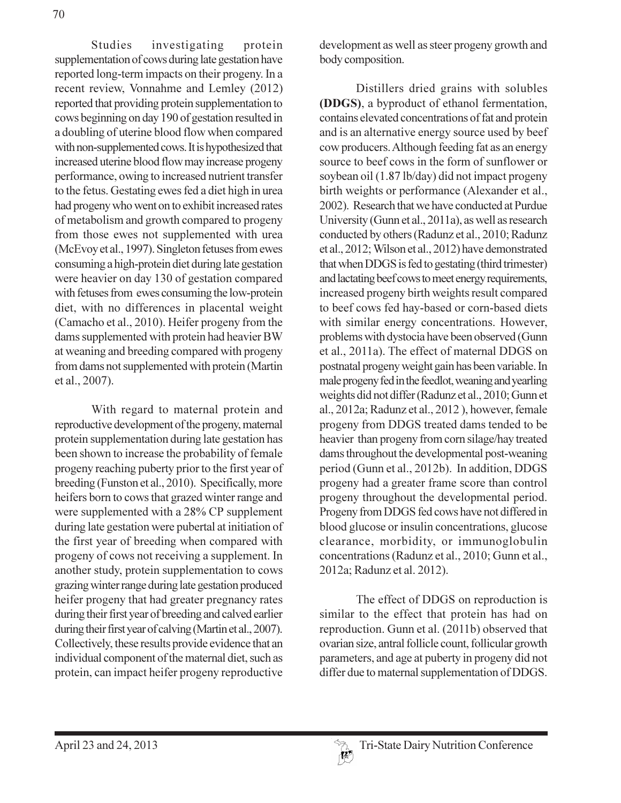Studies investigating protein supplementation of cows during late gestation have reported long-term impacts on their progeny. In a recent review, Vonnahme and Lemley (2012) reported that providing protein supplementation to cows beginning on day 190 of gestation resulted in a doubling of uterine blood flow when compared with non-supplemented cows. It is hypothesized that increased uterine blood flow may increase progeny performance, owing to increased nutrient transfer to the fetus. Gestating ewes fed a diet high in urea had progeny who went on to exhibit increased rates of metabolism and growth compared to progeny from those ewes not supplemented with urea (McEvoy et al., 1997). Singleton fetuses from ewes consuming a high-protein diet during late gestation were heavier on day 130 of gestation compared with fetuses from ewes consuming the low-protein diet, with no differences in placental weight (Camacho et al., 2010). Heifer progeny from the dams supplemented with protein had heavier BW at weaning and breeding compared with progeny from dams not supplemented with protein (Martin et al., 2007).

With regard to maternal protein and reproductive development of the progeny, maternal protein supplementation during late gestation has been shown to increase the probability of female progeny reaching puberty prior to the first year of breeding (Funston et al., 2010). Specifically, more heifers born to cows that grazed winter range and were supplemented with a 28% CP supplement during late gestation were pubertal at initiation of the first year of breeding when compared with progeny of cows not receiving a supplement. In another study, protein supplementation to cows grazing winter range during late gestation produced heifer progeny that had greater pregnancy rates during their first year of breeding and calved earlier during their first year of calving (Martin et al., 2007). Collectively, these results provide evidence that an individual component of the maternal diet, such as protein, can impact heifer progeny reproductive

development as well as steer progeny growth and body composition.

Distillers dried grains with solubles (DDGS), a byproduct of ethanol fermentation, contains elevated concentrations of fat and protein and is an alternative energy source used by beef cow producers. Although feeding fat as an energy source to beef cows in the form of sunflower or soybean oil (1.87 lb/day) did not impact progeny birth weights or performance (Alexander et al., 2002). Research that we have conducted at Purdue University (Gunn et al., 2011a), as well as research conducted by others (Radunz et al., 2010; Radunz et al., 2012; Wilson et al., 2012) have demonstrated that when DDGS is fed to gestating (third trimester) and lactating beef cows to meet energy requirements, increased progeny birth weights result compared to beef cows fed hay-based or corn-based diets with similar energy concentrations. However, problems with dystocia have been observed (Gunn et al., 2011a). The effect of maternal DDGS on postnatal progeny weight gain has been variable. In male progeny fed in the feedlot, weaning and yearling weights did not differ (Radunz et al., 2010; Gunn et al., 2012a; Radunz et al., 2012), however, female progeny from DDGS treated dams tended to be heavier than progeny from corn silage/hay treated dams throughout the developmental post-weaning period (Gunn et al., 2012b). In addition, DDGS progeny had a greater frame score than control progeny throughout the developmental period. Progeny from DDGS fed cows have not differed in blood glucose or insulin concentrations, glucose clearance, morbidity, or immunoglobulin concentrations (Radunz et al., 2010; Gunn et al., 2012a; Radunz et al. 2012).

The effect of DDGS on reproduction is similar to the effect that protein has had on reproduction. Gunn et al. (2011b) observed that ovarian size, antral follicle count, follicular growth parameters, and age at puberty in progeny did not differ due to maternal supplementation of DDGS.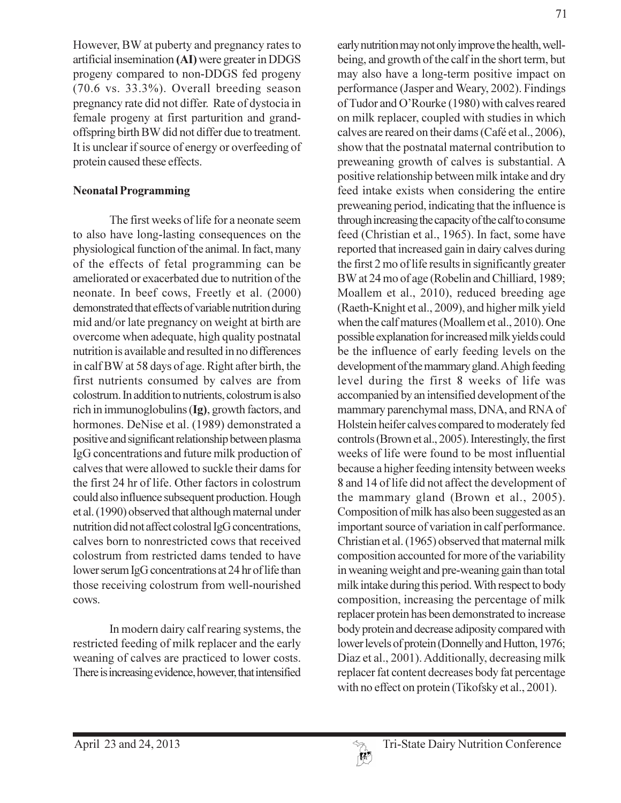However, BW at puberty and pregnancy rates to artificial insemination (AI) were greater in DDGS progeny compared to non-DDGS fed progeny  $(70.6 \text{ vs. } 33.3\%)$ . Overall breeding season pregnancy rate did not differ. Rate of dystocia in female progeny at first parturition and grandoffspring birth BW did not differ due to treatment. It is unclear if source of energy or overfeeding of protein caused these effects.

#### **Neonatal Programming**

The first weeks of life for a neonate seem to also have long-lasting consequences on the physiological function of the animal. In fact, many of the effects of fetal programming can be ameliorated or exacerbated due to nutrition of the neonate. In beef cows, Freetly et al. (2000) demonstrated that effects of variable nutrition during mid and/or late pregnancy on weight at birth are overcome when adequate, high quality postnatal nutrition is available and resulted in no differences in calf BW at 58 days of age. Right after birth, the first nutrients consumed by calves are from colostrum. In addition to nutrients, colostrum is also rich in immunoglobulins (Ig), growth factors, and hormones. DeNise et al. (1989) demonstrated a positive and significant relationship between plasma IgG concentrations and future milk production of calves that were allowed to suckle their dams for the first 24 hr of life. Other factors in colostrum could also influence subsequent production. Hough et al. (1990) observed that although maternal under nutrition did not affect colostral IgG concentrations, calves born to nonrestricted cows that received colostrum from restricted dams tended to have lower serum IgG concentrations at 24 hr of life than those receiving colostrum from well-nourished cows.

In modern dairy calf rearing systems, the restricted feeding of milk replacer and the early weaning of calves are practiced to lower costs. There is increasing evidence, however, that intensified early nutrition may not only improve the health, wellbeing, and growth of the calf in the short term, but may also have a long-term positive impact on performance (Jasper and Weary, 2002). Findings of Tudor and O'Rourke (1980) with calves reared on milk replacer, coupled with studies in which calves are reared on their dams (Café et al., 2006), show that the postnatal maternal contribution to preweaning growth of calves is substantial. A positive relationship between milk intake and dry feed intake exists when considering the entire preweaning period, indicating that the influence is through increasing the capacity of the calf to consume feed (Christian et al., 1965). In fact, some have reported that increased gain in dairy calves during the first 2 mo of life results in significantly greater BW at 24 mo of age (Robelin and Chilliard, 1989; Moallem et al., 2010), reduced breeding age (Raeth-Knight et al., 2009), and higher milk yield when the calf matures (Moallem et al., 2010). One possible explanation for increased milk yields could be the influence of early feeding levels on the development of the mammary gland. A high feeding level during the first 8 weeks of life was accompanied by an intensified development of the mammary parenchymal mass, DNA, and RNA of Holstein heifer calves compared to moderately fed controls (Brown et al., 2005). Interestingly, the first weeks of life were found to be most influential because a higher feeding intensity between weeks 8 and 14 of life did not affect the development of the mammary gland (Brown et al., 2005). Composition of milk has also been suggested as an important source of variation in calf performance. Christian et al. (1965) observed that maternal milk composition accounted for more of the variability in weaning weight and pre-weaning gain than total milk intake during this period. With respect to body composition, increasing the percentage of milk replacer protein has been demonstrated to increase body protein and decrease adiposity compared with lower levels of protein (Donnelly and Hutton, 1976; Diaz et al., 2001). Additionally, decreasing milk replacer fat content decreases body fat percentage with no effect on protein (Tikofsky et al., 2001).

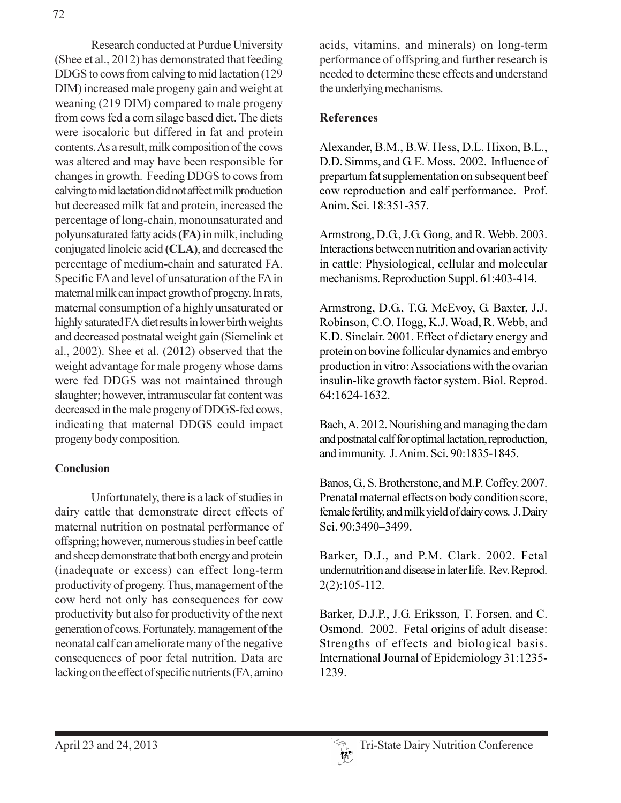Research conducted at Purdue University (Shee et al., 2012) has demonstrated that feeding DDGS to cows from calving to mid lactation (129) DIM) increased male progeny gain and weight at weaning (219 DIM) compared to male progeny from cows fed a corn silage based diet. The diets were isocaloric but differed in fat and protein contents. As a result, milk composition of the cows was altered and may have been responsible for changes in growth. Feeding DDGS to cows from calving to mid lactation did not affect milk production but decreased milk fat and protein, increased the percentage of long-chain, monounsaturated and polyunsaturated fatty acids (FA) in milk, including conjugated linoleic acid (CLA), and decreased the percentage of medium-chain and saturated FA. Specific FA and level of unsaturation of the FA in maternal milk can impact growth of progeny. In rats, maternal consumption of a highly unsaturated or highly saturated FA diet results in lower birth weights and decreased postnatal weight gain (Siemelink et al.,  $2002$ ). Shee et al.  $(2012)$  observed that the weight advantage for male progeny whose dams were fed DDGS was not maintained through slaughter; however, intramuscular fat content was decreased in the male progeny of DDGS-fed cows, indicating that maternal DDGS could impact progeny body composition.

# **Conclusion**

Unfortunately, there is a lack of studies in dairy cattle that demonstrate direct effects of maternal nutrition on postnatal performance of offspring; however, numerous studies in beef cattle and sheep demonstrate that both energy and protein (inadequate or excess) can effect long-term productivity of progeny. Thus, management of the cow herd not only has consequences for cow productivity but also for productivity of the next generation of cows. Fortunately, management of the neonatal calf can ameliorate many of the negative consequences of poor fetal nutrition. Data are lacking on the effect of specific nutrients (FA, amino

acids, vitamins, and minerals) on long-term performance of offspring and further research is needed to determine these effects and understand the underlying mechanisms.

# **References**

Alexander, B.M., B.W. Hess, D.L. Hixon, B.L., D.D. Simms, and G. E. Moss. 2002. Influence of prepartum fat supplementation on subsequent beef cow reproduction and calf performance. Prof. Anim. Sci. 18:351-357.

Armstrong, D.G., J.G. Gong, and R. Webb. 2003. Interactions between nutrition and ovarian activity in cattle: Physiological, cellular and molecular mechanisms. Reproduction Suppl. 61:403-414.

Armstrong, D.G., T.G. McEvoy, G. Baxter, J.J. Robinson, C.O. Hogg, K.J. Woad, R. Webb, and K.D. Sinclair. 2001. Effect of dietary energy and protein on bovine follicular dynamics and embryo production in vitro: Associations with the ovarian insulin-like growth factor system. Biol. Reprod. 64:1624-1632.

Bach, A. 2012. Nourishing and managing the dam and postnatal calf for optimal lactation, reproduction, and immunity. J. Anim. Sci. 90:1835-1845.

Banos, G., S. Brotherstone, and M.P. Coffey. 2007. Prenatal maternal effects on body condition score, female fertility, and milk yield of dairy cows. J. Dairy Sci. 90:3490-3499.

Barker, D.J., and P.M. Clark. 2002. Fetal undernutrition and disease in later life. Rev. Reprod.  $2(2):105-112.$ 

Barker, D.J.P., J.G. Eriksson, T. Forsen, and C. Osmond. 2002. Fetal origins of adult disease: Strengths of effects and biological basis. International Journal of Epidemiology 31:1235-1239.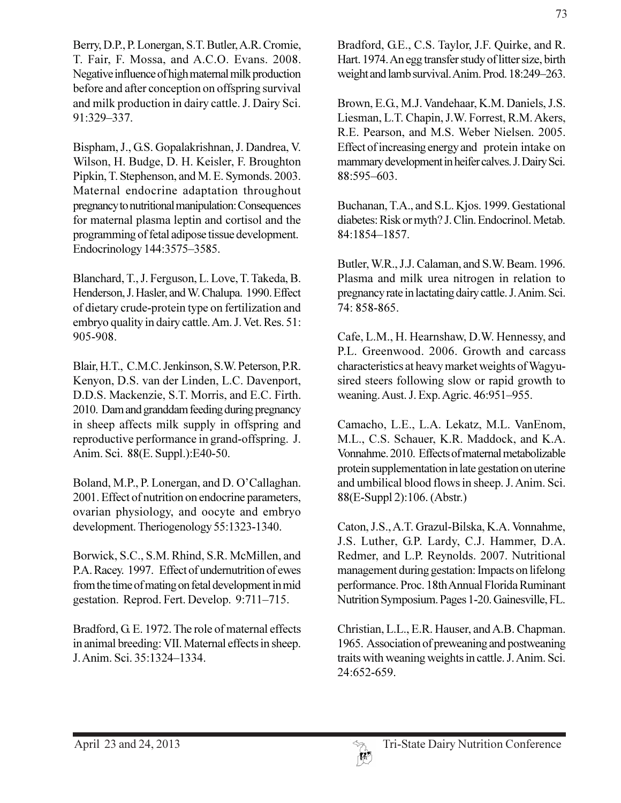Berry, D.P., P. Lonergan, S.T. Butler, A.R. Cromie, T. Fair, F. Mossa, and A.C.O. Evans. 2008. Negative influence of high maternal milk production before and after conception on offspring survival and milk production in dairy cattle. J. Dairy Sci. 91:329-337.

Bispham, J., G.S. Gopalakrishnan, J. Dandrea, V. Wilson, H. Budge, D. H. Keisler, F. Broughton Pipkin, T. Stephenson, and M. E. Symonds. 2003. Maternal endocrine adaptation throughout pregnancy to nutritional manipulation: Consequences for maternal plasma leptin and cortisol and the programming of fetal adipose tissue development. Endocrinology 144:3575-3585.

Blanchard, T., J. Ferguson, L. Love, T. Takeda, B. Henderson, J. Hasler, and W. Chalupa. 1990. Effect of dietary crude-protein type on fertilization and embryo quality in dairy cattle. Am. J. Vet. Res. 51: 905-908.

Blair, H.T., C.M.C. Jenkinson, S.W. Peterson, P.R. Kenyon, D.S. van der Linden, L.C. Davenport, D.D.S. Mackenzie, S.T. Morris, and E.C. Firth. 2010. Dam and granddam feeding during pregnancy in sheep affects milk supply in offspring and reproductive performance in grand-offspring. J. Anim. Sci. 88(E. Suppl.):E40-50.

Boland, M.P., P. Lonergan, and D. O'Callaghan. 2001. Effect of nutrition on endocrine parameters, ovarian physiology, and oocyte and embryo development. Theriogenology 55:1323-1340.

Borwick, S.C., S.M. Rhind, S.R. McMillen, and P.A. Racey. 1997. Effect of undernutrition of ewes from the time of mating on fetal development in mid gestation. Reprod. Fert. Develop. 9:711-715.

Bradford, G. E. 1972. The role of maternal effects in animal breeding: VII. Maternal effects in sheep. J. Anim. Sci. 35:1324-1334.

Bradford, G.E., C.S. Taylor, J.F. Quirke, and R. Hart. 1974. An egg transfer study of litter size, birth weight and lamb survival. Anim. Prod. 18:249-263.

Brown, E.G., M.J. Vandehaar, K.M. Daniels, J.S. Liesman, L.T. Chapin, J.W. Forrest, R.M. Akers, R.E. Pearson, and M.S. Weber Nielsen. 2005. Effect of increasing energy and protein intake on mammary development in heifer calves. J. Dairy Sci. 88:595-603.

Buchanan, T.A., and S.L. Kjos. 1999. Gestational diabetes: Risk or myth? J. Clin. Endocrinol. Metab. 84:1854-1857.

Butler, W.R., J.J. Calaman, and S.W. Beam. 1996. Plasma and milk urea nitrogen in relation to pregnancy rate in lactating dairy cattle. J. Anim. Sci. 74:858-865.

Cafe, L.M., H. Hearnshaw, D.W. Hennessy, and P.L. Greenwood. 2006. Growth and carcass characteristics at heavy market weights of Wagyusired steers following slow or rapid growth to weaning. Aust. J. Exp. Agric. 46:951-955.

Camacho, L.E., L.A. Lekatz, M.L. VanEnom, M.L., C.S. Schauer, K.R. Maddock, and K.A. Vonnahme. 2010. Effects of maternal metabolizable protein supplementation in late gestation on uterine and umbilical blood flows in sheep. J. Anim. Sci. 88(E-Suppl 2):106. (Abstr.)

Caton, J.S., A.T. Grazul-Bilska, K.A. Vonnahme, J.S. Luther, G.P. Lardy, C.J. Hammer, D.A. Redmer, and L.P. Reynolds. 2007. Nutritional management during gestation: Impacts on lifelong performance. Proc. 18th Annual Florida Ruminant Nutrition Symposium. Pages 1-20. Gainesville, FL.

Christian, L.L., E.R. Hauser, and A.B. Chapman. 1965. Association of preweaning and postweaning traits with weaning weights in cattle. J. Anim. Sci. 24:652-659.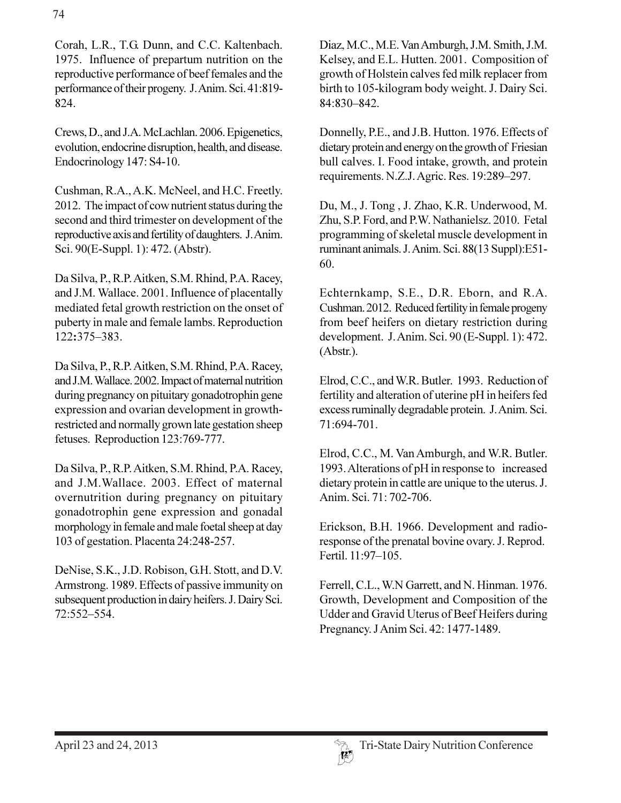Corah, L.R., T.G. Dunn, and C.C. Kaltenbach. 1975. Influence of prepartum nutrition on the reproductive performance of beef females and the performance of their progeny. J. Anim. Sci. 41:819-824.

Crews, D., and J.A. McLachlan. 2006. Epigenetics, evolution, endocrine disruption, health, and disease. Endocrinology 147: S4-10.

Cushman, R.A., A.K. McNeel, and H.C. Freetly. 2012. The impact of cownutrient status during the second and third trimester on development of the reproductive axis and fertility of daughters. J. Anim. Sci. 90(E-Suppl. 1): 472. (Abstr).

Da Silva, P., R.P. Aitken, S.M. Rhind, P.A. Racey, and J.M. Wallace. 2001. Influence of placentally mediated fetal growth restriction on the onset of puberty in male and female lambs. Reproduction 122:375-383.

Da Silva, P., R.P. Aitken, S.M. Rhind, P.A. Racey, and J.M. Wallace. 2002. Impact of maternal nutrition during pregnancy on pituitary gonadotrophin gene expression and ovarian development in growthrestricted and normally grown late gestation sheep fetuses. Reproduction 123:769-777.

Da Silva, P., R.P. Aitken, S.M. Rhind, P.A. Racey, and J.M.Wallace. 2003. Effect of maternal overnutrition during pregnancy on pituitary gonadotrophin gene expression and gonadal morphology in female and male foetal sheep at day 103 of gestation. Placenta 24:248-257.

DeNise, S.K., J.D. Robison, G.H. Stott, and D.V. Armstrong. 1989. Effects of passive immunity on subsequent production in dairy heifers. J. Dairy Sci. 72:552-554.

Diaz, M.C., M.E. Van Amburgh, J.M. Smith, J.M. Kelsey, and E.L. Hutten. 2001. Composition of growth of Holstein calves fed milk replacer from birth to 105-kilogram body weight. J. Dairy Sci. 84:830-842.

Donnelly, P.E., and J.B. Hutton. 1976. Effects of dietary protein and energy on the growth of Friesian bull calves. I. Food intake, growth, and protein requirements. N.Z.J. Agric. Res. 19:289-297.

Du, M., J. Tong, J. Zhao, K.R. Underwood, M. Zhu, S.P. Ford, and P.W. Nathanielsz. 2010. Fetal programming of skeletal muscle development in ruminant animals. J. Anim. Sci. 88(13 Suppl):E51-60.

Echternkamp, S.E., D.R. Eborn, and R.A. Cushman. 2012. Reduced fertility in female progeny from beef heifers on dietary restriction during development. J. Anim. Sci. 90 (E-Suppl. 1): 472.  $(Abstract).$ 

Elrod, C.C., and W.R. Butler. 1993. Reduction of fertility and alteration of uterine pH in heifers fed excess ruminally degradable protein. J. Anim. Sci. 71:694-701.

Elrod, C.C., M. Van Amburgh, and W.R. Butler. 1993. Alterations of pH in response to increased dietary protein in cattle are unique to the uterus. J. Anim. Sci. 71: 702-706.

Erickson, B.H. 1966. Development and radioresponse of the prenatal bovine ovary. J. Reprod. Fertil. 11:97-105.

Ferrell, C.L., W.N Garrett, and N. Hinman. 1976. Growth, Development and Composition of the Udder and Gravid Uterus of Beef Heifers during Pregnancy. J Anim Sci. 42: 1477-1489.

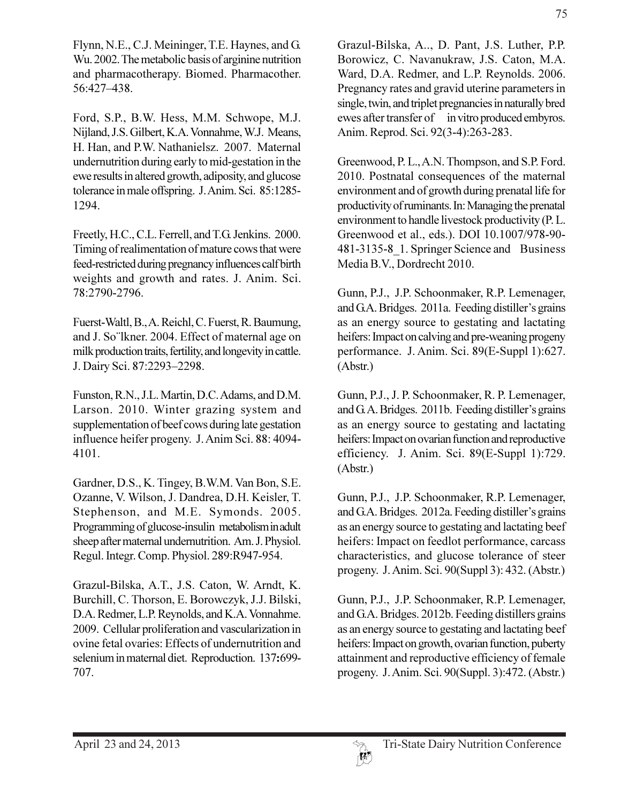Flynn, N.E., C.J. Meininger, T.E. Haynes, and G. Wu. 2002. The metabolic basis of arginine nutrition and pharmacotherapy. Biomed. Pharmacother. 56:427-438.

Ford, S.P., B.W. Hess, M.M. Schwope, M.J. Nijland, J.S. Gilbert, K.A. Vonnahme, W.J. Means, H. Han, and P.W. Nathanielsz. 2007. Maternal undernutrition during early to mid-gestation in the ewe results in altered growth, adiposity, and glucose tolerance in male offspring. J. Anim. Sci. 85:1285-1294.

Freetly, H.C., C.L. Ferrell, and T.G. Jenkins. 2000. Timing of realimentation of mature cows that were feed-restricted during pregnancy influences calf birth weights and growth and rates. J. Anim. Sci. 78:2790-2796.

Fuerst-Waltl, B., A. Reichl, C. Fuerst, R. Baumung, and J. So"lkner. 2004. Effect of maternal age on milk production traits, fertility, and longevity in cattle. J. Dairy Sci. 87:2293-2298.

Funston, R.N., J.L. Martin, D.C. Adams, and D.M. Larson. 2010. Winter grazing system and supplementation of beef cows during late gestation influence heifer progeny. J. Anim Sci. 88: 4094-4101.

Gardner, D.S., K. Tingey, B.W.M. Van Bon, S.E. Ozanne, V. Wilson, J. Dandrea, D.H. Keisler, T. Stephenson, and M.E. Symonds. 2005. Programming of glucose-insulin metabolism in adult sheep after maternal undernutrition. Am. J. Physiol. Regul. Integr. Comp. Physiol. 289:R947-954.

Grazul-Bilska, A.T., J.S. Caton, W. Arndt, K. Burchill, C. Thorson, E. Borowczyk, J.J. Bilski, D.A. Redmer, L.P. Reynolds, and K.A. Vonnahme. 2009. Cellular proliferation and vascularization in ovine fetal ovaries: Effects of undernutrition and selenium in maternal diet. Reproduction. 137:699-707.

Grazul-Bilska, A., D. Pant, J.S. Luther, P.P. Borowicz, C. Navanukraw, J.S. Caton, M.A. Ward, D.A. Redmer, and L.P. Reynolds. 2006. Pregnancy rates and gravid uterine parameters in single, twin, and triplet pregnancies in naturally bred ewes after transfer of in vitro produced embyros. Anim. Reprod. Sci. 92(3-4):263-283.

Greenwood, P. L., A.N. Thompson, and S.P. Ford. 2010. Postnatal consequences of the maternal environment and of growth during prenatal life for productivity of ruminants. In: Managing the prenatal environment to handle livestock productivity (P.L. Greenwood et al., eds.). DOI 10.1007/978-90-481-3135-8 1. Springer Science and Business Media B.V., Dordrecht 2010.

Gunn, P.J., J.P. Schoonmaker, R.P. Lemenager, and G.A. Bridges. 2011a. Feeding distiller's grains as an energy source to gestating and lactating heifers: Impact on calving and pre-weaning progeny performance. J. Anim. Sci. 89(E-Suppl 1):627.  $(Abstract.)$ 

Gunn, P.J., J. P. Schoonmaker, R. P. Lemenager, and G.A. Bridges. 2011b. Feeding distiller's grains as an energy source to gestating and lactating heifers: Impact on ovarian function and reproductive efficiency. J. Anim. Sci. 89(E-Suppl 1):729.  $(Abstract.)$ 

Gunn, P.J., J.P. Schoonmaker, R.P. Lemenager, and G.A. Bridges. 2012a. Feeding distiller's grains as an energy source to gestating and lactating beef heifers: Impact on feedlot performance, carcass characteristics, and glucose tolerance of steer progeny. J. Anim. Sci. 90(Suppl 3): 432. (Abstr.)

Gunn, P.J., J.P. Schoonmaker, R.P. Lemenager, and G.A. Bridges. 2012b. Feeding distillers grains as an energy source to gestating and lactating beef heifers: Impact on growth, ovarian function, puberty attainment and reproductive efficiency of female progeny. J. Anim. Sci. 90(Suppl. 3):472. (Abstr.)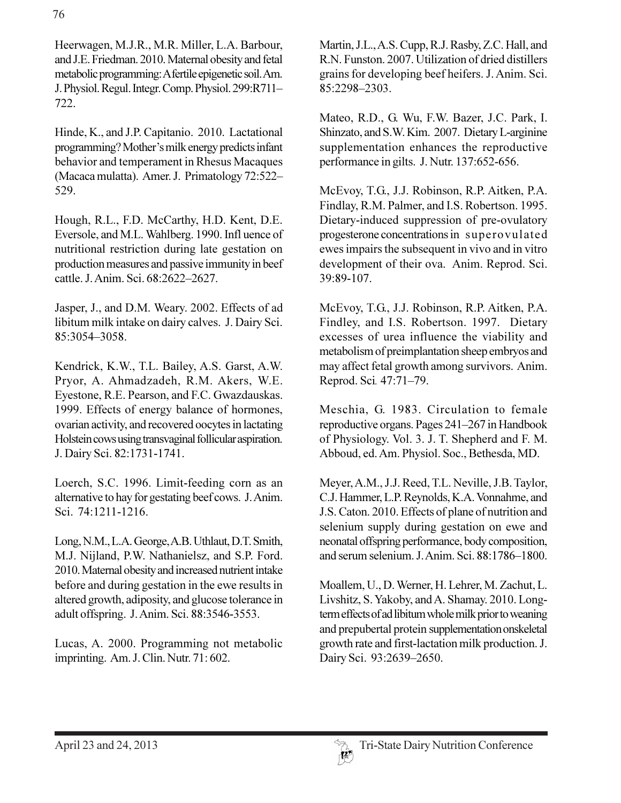Heerwagen, M.J.R., M.R. Miller, L.A. Barbour, and J.E. Friedman. 2010. Maternal obesity and fetal metabolic programming: A fertile epigenetic soil. Am. J. Physiol. Regul. Integr. Comp. Physiol. 299:R711-722.

Hinde, K., and J.P. Capitanio. 2010. Lactational programming? Mother's milk energy predicts infant behavior and temperament in Rhesus Macaques (Macaca mulatta). Amer. J. Primatology 72:522-529.

Hough, R.L., F.D. McCarthy, H.D. Kent, D.E. Eversole, and M.L. Wahlberg. 1990. Infl uence of nutritional restriction during late gestation on production measures and passive immunity in beef cattle, J. Anim. Sci. 68:2622-2627.

Jasper, J., and D.M. Weary. 2002. Effects of ad libitum milk intake on dairy calves. J. Dairy Sci. 85:3054-3058.

Kendrick, K.W., T.L. Bailey, A.S. Garst, A.W. Pryor, A. Ahmadzadeh, R.M. Akers, W.E. Evestone, R.E. Pearson, and F.C. Gwazdauskas. 1999. Effects of energy balance of hormones, ovarian activity, and recovered oocytes in lactating Holstein cows using transvaginal follicular aspiration. J. Dairy Sci. 82:1731-1741.

Loerch, S.C. 1996. Limit-feeding corn as an alternative to hay for gestating beef cows. J. Anim. Sci. 74:1211-1216.

Long, N.M., L.A. George, A.B. Uthlaut, D.T. Smith, M.J. Nijland, P.W. Nathanielsz, and S.P. Ford. 2010. Maternal obesity and increased nutrient intake before and during gestation in the ewe results in altered growth, adiposity, and glucose tolerance in adult offspring. J. Anim. Sci. 88:3546-3553.

Lucas, A. 2000. Programming not metabolic imprinting. Am. J. Clin. Nutr. 71:602.

Martin, J.L., A.S. Cupp, R.J. Rasby, Z.C. Hall, and R.N. Funston. 2007. Utilization of dried distillers grains for developing beef heifers. J. Anim. Sci. 85:2298-2303.

Mateo, R.D., G. Wu, F.W. Bazer, J.C. Park, I. Shinzato, and S.W. Kim. 2007. Dietary L-arginine supplementation enhances the reproductive performance in gilts. J. Nutr. 137:652-656.

McEvoy, T.G., J.J. Robinson, R.P. Aitken, P.A. Findlay, R.M. Palmer, and I.S. Robertson. 1995. Dietary-induced suppression of pre-ovulatory progesterone concentrations in superovulated ewes impairs the subsequent in vivo and in vitro development of their ova. Anim. Reprod. Sci. 39:89-107.

McEvoy, T.G., J.J. Robinson, R.P. Aitken, P.A. Findley, and I.S. Robertson. 1997. Dietary excesses of urea influence the viability and metabolism of preimplantation sheep embryos and may affect fetal growth among survivors. Anim. Reprod. Sci. 47:71-79.

Meschia, G. 1983. Circulation to female reproductive organs. Pages 241–267 in Handbook of Physiology. Vol. 3. J. T. Shepherd and F. M. Abboud, ed. Am. Physiol. Soc., Bethesda, MD.

Meyer, A.M., J.J. Reed, T.L. Neville, J.B. Taylor, C.J. Hammer, L.P. Reynolds, K.A. Vonnahme, and J.S. Caton. 2010. Effects of plane of nutrition and selenium supply during gestation on ewe and neonatal offspring performance, body composition, and serum selenium. J. Anim. Sci. 88:1786–1800.

Moallem, U., D. Werner, H. Lehrer, M. Zachut, L. Livshitz, S. Yakoby, and A. Shamay. 2010. Longterm effects of ad libitum whole milk prior to weaning and prepubertal protein supplementation onskeletal growth rate and first-lactation milk production. J. Dairy Sci. 93:2639-2650.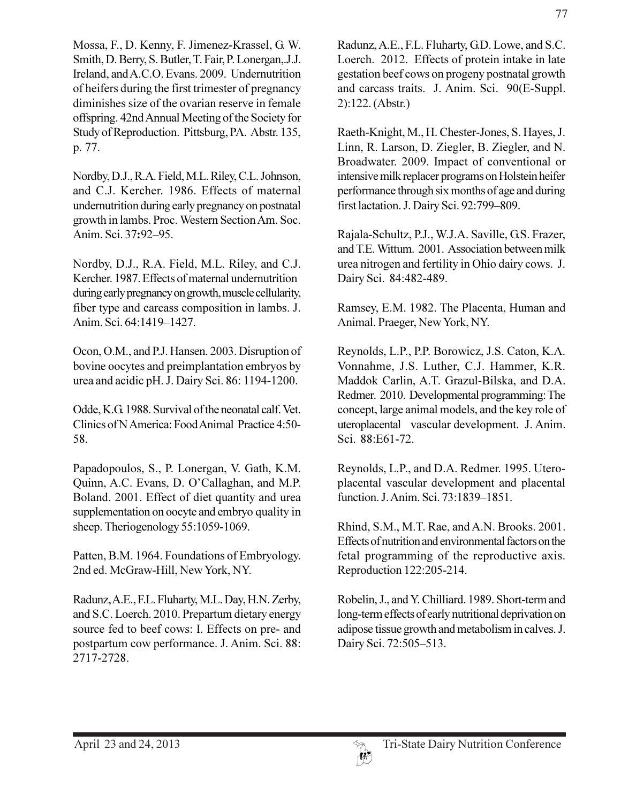Mossa, F., D. Kenny, F. Jimenez-Krassel, G. W. Smith, D. Berry, S. Butler, T. Fair, P. Lonergan, J.J. Ireland, and A.C.O. Evans. 2009. Undernutrition of heifers during the first trimester of pregnancy diminishes size of the ovarian reserve in female offspring. 42nd Annual Meeting of the Society for Study of Reproduction. Pittsburg, PA. Abstr. 135, p. 77.

Nordby, D.J., R.A. Field, M.L. Riley, C.L. Johnson, and C.J. Kercher. 1986. Effects of maternal undernutrition during early pregnancy on postnatal growth in lambs. Proc. Western Section Am. Soc. Anim. Sci. 37:92-95.

Nordby, D.J., R.A. Field, M.L. Riley, and C.J. Kercher. 1987. Effects of maternal undernutrition during early pregnancy on growth, muscle cellularity, fiber type and carcass composition in lambs. J. Anim. Sci. 64:1419-1427.

Ocon, O.M., and P.J. Hansen. 2003. Disruption of bovine oocytes and preimplantation embryos by urea and acidic pH. J. Dairy Sci. 86: 1194-1200.

Odde, K.G. 1988. Survival of the neonatal calf. Vet. Clinics of N America: Food Animal Practice 4:50-58.

Papadopoulos, S., P. Lonergan, V. Gath, K.M. Quinn, A.C. Evans, D. O'Callaghan, and M.P. Boland. 2001. Effect of diet quantity and urea supplementation on oocyte and embryo quality in sheep. Theriogenology 55:1059-1069.

Patten, B.M. 1964. Foundations of Embryology. 2nd ed. McGraw-Hill, New York, NY.

Radunz, A.E., F.L. Fluharty, M.L. Day, H.N. Zerby, and S.C. Loerch. 2010. Prepartum dietary energy source fed to beef cows: I. Effects on pre- and postpartum cow performance. J. Anim. Sci. 88: 2717-2728.

Radunz, A.E., F.L. Fluharty, G.D. Lowe, and S.C. Loerch. 2012. Effects of protein intake in late gestation beef cows on progeny postnatal growth and carcass traits. J. Anim. Sci. 90(E-Suppl.  $2):122. (Abstr.)$ 

Raeth-Knight, M., H. Chester-Jones, S. Hayes, J. Linn, R. Larson, D. Ziegler, B. Ziegler, and N. Broadwater. 2009. Impact of conventional or intensive milk replacer programs on Holstein heifer performance through six months of age and during first lactation. J. Dairy Sci. 92:799-809.

Rajala-Schultz, P.J., W.J.A. Saville, G.S. Frazer, and T.E. Wittum. 2001. Association between milk urea nitrogen and fertility in Ohio dairy cows. J. Dairy Sci. 84:482-489.

Ramsey, E.M. 1982. The Placenta, Human and Animal. Praeger, New York, NY.

Reynolds, L.P., P.P. Borowicz, J.S. Caton, K.A. Vonnahme, J.S. Luther, C.J. Hammer, K.R. Maddok Carlin, A.T. Grazul-Bilska, and D.A. Redmer. 2010. Developmental programming: The concept, large animal models, and the key role of uteroplacental vascular development. J. Anim. Sci. 88:E61-72.

Reynolds, L.P., and D.A. Redmer. 1995. Uteroplacental vascular development and placental function. J. Anim. Sci. 73:1839-1851.

Rhind, S.M., M.T. Rae, and A.N. Brooks. 2001. Effects of nutrition and environmental factors on the fetal programming of the reproductive axis. Reproduction 122:205-214.

Robelin, J., and Y. Chilliard. 1989. Short-term and long-term effects of early nutritional deprivation on adipose tissue growth and metabolism in calves. J. Dairy Sci. 72:505-513.

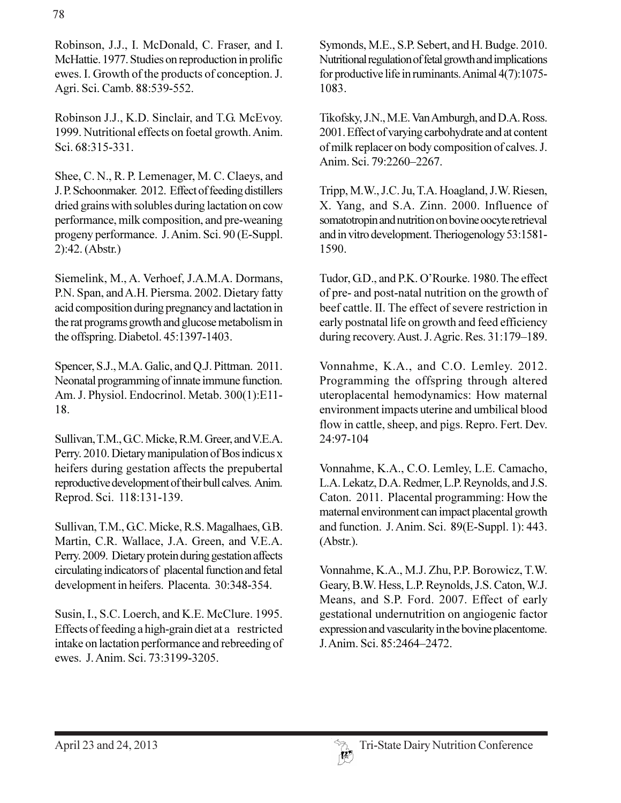Robinson, J.J., I. McDonald, C. Fraser, and I. McHattie. 1977. Studies on reproduction in prolific ewes. I. Growth of the products of conception. J. Agri. Sci. Camb. 88:539-552.

Robinson J.J., K.D. Sinclair, and T.G. McEvoy. 1999. Nutritional effects on foetal growth. Anim. Sci. 68:315-331.

Shee, C. N., R. P. Lemenager, M. C. Claeys, and J.P. Schoonmaker. 2012. Effect of feeding distillers dried grains with solubles during lactation on cow performance, milk composition, and pre-weaning progeny performance. J. Anim. Sci. 90 (E-Suppl.  $2):42. (Abstr.)$ 

Siemelink, M., A. Verhoef, J.A.M.A. Dormans, P.N. Span, and A.H. Piersma. 2002. Dietary fatty acid composition during pregnancy and lactation in the rat programs growth and glucose metabolism in the offspring. Diabetol. 45:1397-1403.

Spencer, S.J., M.A. Galic, and Q.J. Pittman. 2011. Neonatal programming of innate immune function. Am. J. Physiol. Endocrinol. Metab. 300(1):E11-18.

Sullivan, T.M., G.C. Micke, R.M. Greer, and V.E.A. Perry. 2010. Dietary manipulation of Bos indicus x heifers during gestation affects the prepubertal reproductive development of their bull calves. Anim. Reprod. Sci. 118:131-139.

Sullivan, T.M., G.C. Micke, R.S. Magalhaes, G.B. Martin, C.R. Wallace, J.A. Green, and V.E.A. Perry. 2009. Dietary protein during gestation affects circulating indicators of placental function and fetal development in heifers. Placenta. 30:348-354.

Susin, I., S.C. Loerch, and K.E. McClure. 1995. Effects of feeding a high-grain diet at a restricted intake on lactation performance and rebreeding of ewes. J. Anim. Sci. 73:3199-3205.

Symonds, M.E., S.P. Sebert, and H. Budge. 2010. Nutritional regulation of fetal growth and implications for productive life in ruminants. Animal 4(7):1075-1083.

Tikofsky, J.N., M.E. Van Amburgh, and D.A. Ross. 2001. Effect of varying carbohydrate and at content of milk replacer on body composition of calves. J. Anim. Sci. 79:2260-2267.

Tripp, M.W., J.C. Ju, T.A. Hoagland, J.W. Riesen, X. Yang, and S.A. Zinn. 2000. Influence of somatotropin and nutrition on bovine oocyte retrieval and in vitro development. Theriogenology 53:1581-1590.

Tudor, G.D., and P.K. O'Rourke. 1980. The effect of pre- and post-natal nutrition on the growth of beef cattle. II. The effect of severe restriction in early postnatal life on growth and feed efficiency during recovery. Aust. J. Agric. Res. 31:179–189.

Vonnahme, K.A., and C.O. Lemley. 2012. Programming the offspring through altered uteroplacental hemodynamics: How maternal environment impacts uterine and umbilical blood flow in cattle, sheep, and pigs. Repro. Fert. Dev. 24:97-104

Vonnahme, K.A., C.O. Lemley, L.E. Camacho, L.A. Lekatz, D.A. Redmer, L.P. Reynolds, and J.S. Caton. 2011. Placental programming: How the maternal environment can impact placental growth and function. J. Anim. Sci. 89(E-Suppl. 1): 443.  $(Abstract).$ 

Vonnahme, K.A., M.J. Zhu, P.P. Borowicz, T.W. Geary, B.W. Hess, L.P. Reynolds, J.S. Caton, W.J. Means, and S.P. Ford. 2007. Effect of early gestational undernutrition on angiogenic factor expression and vascularity in the bovine placentome. J. Anim. Sci. 85:2464-2472.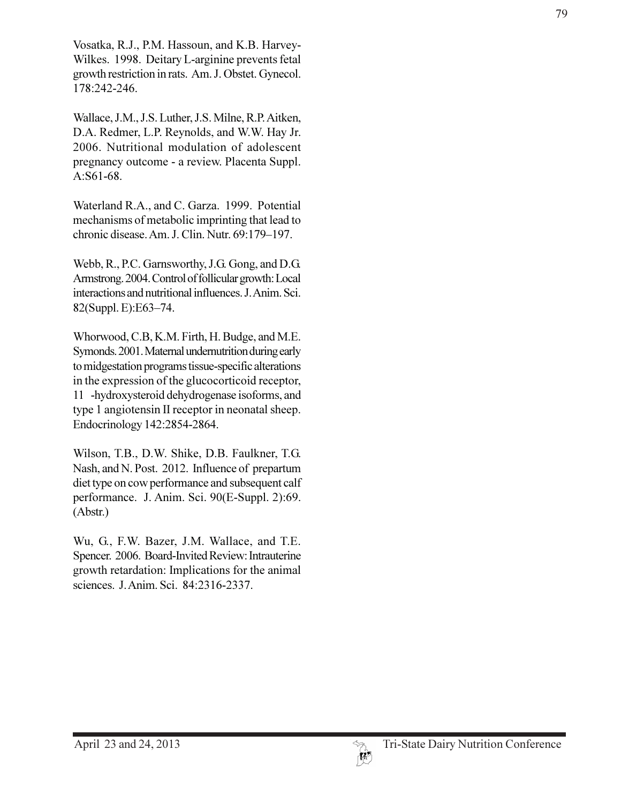Vosatka, R.J., P.M. Hassoun, and K.B. Harvey-Wilkes. 1998. Deitary L-arginine prevents fetal growth restriction in rats. Am. J. Obstet. Gynecol. 178:242-246.

Wallace, J.M., J.S. Luther, J.S. Milne, R.P. Aitken, D.A. Redmer, L.P. Reynolds, and W.W. Hay Jr. 2006. Nutritional modulation of adolescent pregnancy outcome - a review. Placenta Suppl. A:S61-68.

Waterland R.A., and C. Garza. 1999. Potential mechanisms of metabolic imprinting that lead to chronic disease. Am. J. Clin. Nutr. 69:179-197.

Webb, R., P.C. Garnsworthy, J.G. Gong, and D.G. Armstrong. 2004. Control of follicular growth: Local interactions and nutritional influences. J. Anim. Sci. 82(Suppl. E):E63-74.

Whorwood, C.B, K.M. Firth, H. Budge, and M.E. Symonds. 2001. Maternal undernutrition during early to midgestation programs tissue-specific alterations in the expression of the glucocorticoid receptor, 11 -hydroxysteroid dehydrogenase isoforms, and type 1 angiotensin II receptor in neonatal sheep. Endocrinology 142:2854-2864.

Wilson, T.B., D.W. Shike, D.B. Faulkner, T.G. Nash, and N. Post. 2012. Influence of prepartum diet type on cow performance and subsequent calf performance. J. Anim. Sci. 90(E-Suppl. 2):69.  $(Abstract.)$ 

Wu, G., F.W. Bazer, J.M. Wallace, and T.E. Spencer. 2006. Board-Invited Review: Intrauterine growth retardation: Implications for the animal sciences. J. Anim. Sci. 84:2316-2337.